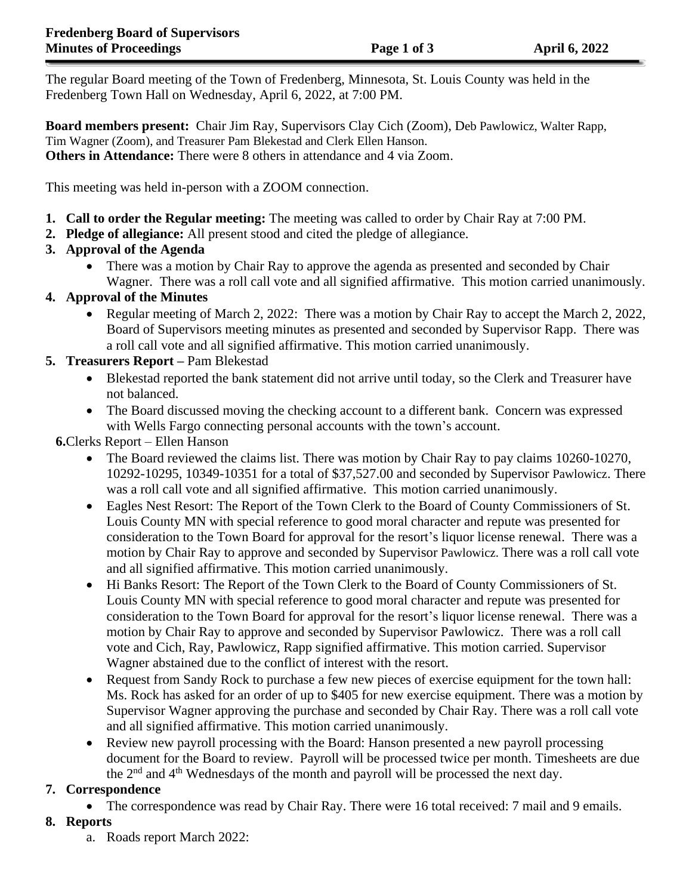The regular Board meeting of the Town of Fredenberg, Minnesota, St. Louis County was held in the Fredenberg Town Hall on Wednesday, April 6, 2022, at 7:00 PM.

**Board members present:** Chair Jim Ray, Supervisors Clay Cich (Zoom), Deb Pawlowicz, Walter Rapp, Tim Wagner (Zoom), and Treasurer Pam Blekestad and Clerk Ellen Hanson. **Others in Attendance:** There were 8 others in attendance and 4 via Zoom.

This meeting was held in-person with a ZOOM connection.

- **1. Call to order the Regular meeting:** The meeting was called to order by Chair Ray at 7:00 PM.
- **2. Pledge of allegiance:** All present stood and cited the pledge of allegiance.

# **3. Approval of the Agenda**

• There was a motion by Chair Ray to approve the agenda as presented and seconded by Chair Wagner. There was a roll call vote and all signified affirmative. This motion carried unanimously.

### **4. Approval of the Minutes**

• Regular meeting of March 2, 2022: There was a motion by Chair Ray to accept the March 2, 2022, Board of Supervisors meeting minutes as presented and seconded by Supervisor Rapp. There was a roll call vote and all signified affirmative. This motion carried unanimously.

### **5. Treasurers Report –** Pam Blekestad

- Blekestad reported the bank statement did not arrive until today, so the Clerk and Treasurer have not balanced.
- The Board discussed moving the checking account to a different bank. Concern was expressed with Wells Fargo connecting personal accounts with the town's account.

**6.**Clerks Report – Ellen Hanson

- The Board reviewed the claims list. There was motion by Chair Ray to pay claims 10260-10270, 10292-10295, 10349-10351 for a total of \$37,527.00 and seconded by Supervisor Pawlowicz. There was a roll call vote and all signified affirmative. This motion carried unanimously.
- Eagles Nest Resort: The Report of the Town Clerk to the Board of County Commissioners of St. Louis County MN with special reference to good moral character and repute was presented for consideration to the Town Board for approval for the resort's liquor license renewal. There was a motion by Chair Ray to approve and seconded by Supervisor Pawlowicz. There was a roll call vote and all signified affirmative. This motion carried unanimously.
- Hi Banks Resort: The Report of the Town Clerk to the Board of County Commissioners of St. Louis County MN with special reference to good moral character and repute was presented for consideration to the Town Board for approval for the resort's liquor license renewal. There was a motion by Chair Ray to approve and seconded by Supervisor Pawlowicz. There was a roll call vote and Cich, Ray, Pawlowicz, Rapp signified affirmative. This motion carried. Supervisor Wagner abstained due to the conflict of interest with the resort.
- Request from Sandy Rock to purchase a few new pieces of exercise equipment for the town hall: Ms. Rock has asked for an order of up to \$405 for new exercise equipment. There was a motion by Supervisor Wagner approving the purchase and seconded by Chair Ray. There was a roll call vote and all signified affirmative. This motion carried unanimously.
- Review new payroll processing with the Board: Hanson presented a new payroll processing document for the Board to review. Payroll will be processed twice per month. Timesheets are due the 2nd and 4th Wednesdays of the month and payroll will be processed the next day.

# **7. Correspondence**

• The correspondence was read by Chair Ray. There were 16 total received: 7 mail and 9 emails.

### **8. Reports**

a. Roads report March 2022: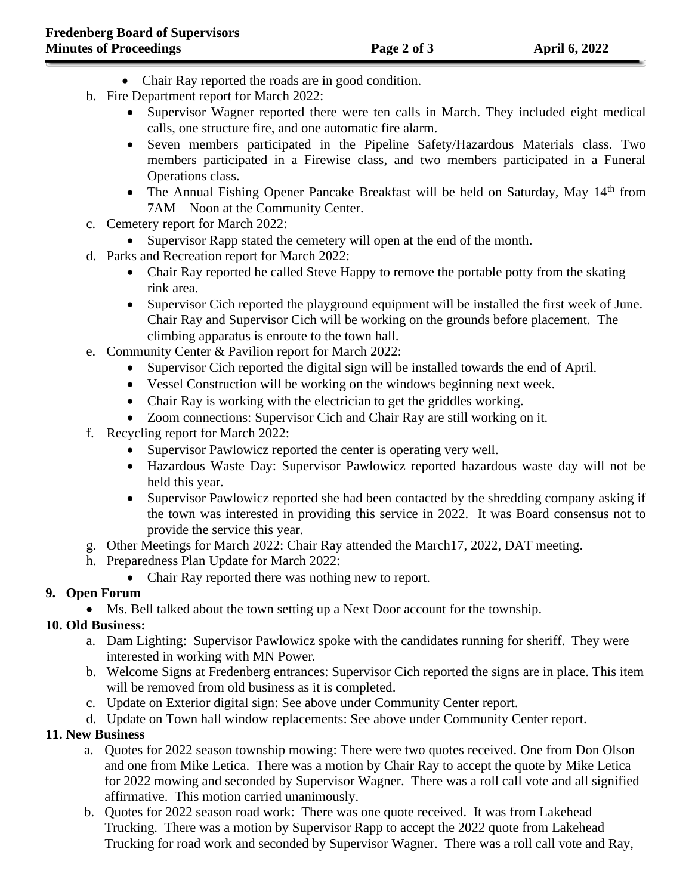- Chair Ray reported the roads are in good condition.
- b. Fire Department report for March 2022:
	- Supervisor Wagner reported there were ten calls in March. They included eight medical calls, one structure fire, and one automatic fire alarm.
	- Seven members participated in the Pipeline Safety/Hazardous Materials class. Two members participated in a Firewise class, and two members participated in a Funeral Operations class.
	- The Annual Fishing Opener Pancake Breakfast will be held on Saturday, May  $14<sup>th</sup>$  from 7AM – Noon at the Community Center.
- c. Cemetery report for March 2022:
	- Supervisor Rapp stated the cemetery will open at the end of the month.
- d. Parks and Recreation report for March 2022:
	- Chair Ray reported he called Steve Happy to remove the portable potty from the skating rink area.
	- Supervisor Cich reported the playground equipment will be installed the first week of June. Chair Ray and Supervisor Cich will be working on the grounds before placement. The climbing apparatus is enroute to the town hall.
- e. Community Center & Pavilion report for March 2022:
	- Supervisor Cich reported the digital sign will be installed towards the end of April.
	- Vessel Construction will be working on the windows beginning next week.
	- Chair Ray is working with the electrician to get the griddles working.
	- Zoom connections: Supervisor Cich and Chair Ray are still working on it.
- f. Recycling report for March 2022:
	- Supervisor Pawlowicz reported the center is operating very well.
	- Hazardous Waste Day: Supervisor Pawlowicz reported hazardous waste day will not be held this year.
	- Supervisor Pawlowicz reported she had been contacted by the shredding company asking if the town was interested in providing this service in 2022. It was Board consensus not to provide the service this year.
- g. Other Meetings for March 2022: Chair Ray attended the March17, 2022, DAT meeting.
- h. Preparedness Plan Update for March 2022:
	- Chair Ray reported there was nothing new to report.

# **9. Open Forum**

• Ms. Bell talked about the town setting up a Next Door account for the township.

# **10. Old Business:**

- a. Dam Lighting: Supervisor Pawlowicz spoke with the candidates running for sheriff. They were interested in working with MN Power.
- b. Welcome Signs at Fredenberg entrances: Supervisor Cich reported the signs are in place. This item will be removed from old business as it is completed.
- c. Update on Exterior digital sign: See above under Community Center report.
- d. Update on Town hall window replacements: See above under Community Center report.

# **11. New Business**

- a. Quotes for 2022 season township mowing: There were two quotes received. One from Don Olson and one from Mike Letica. There was a motion by Chair Ray to accept the quote by Mike Letica for 2022 mowing and seconded by Supervisor Wagner. There was a roll call vote and all signified affirmative. This motion carried unanimously.
- b. Quotes for 2022 season road work: There was one quote received. It was from Lakehead Trucking. There was a motion by Supervisor Rapp to accept the 2022 quote from Lakehead Trucking for road work and seconded by Supervisor Wagner. There was a roll call vote and Ray,